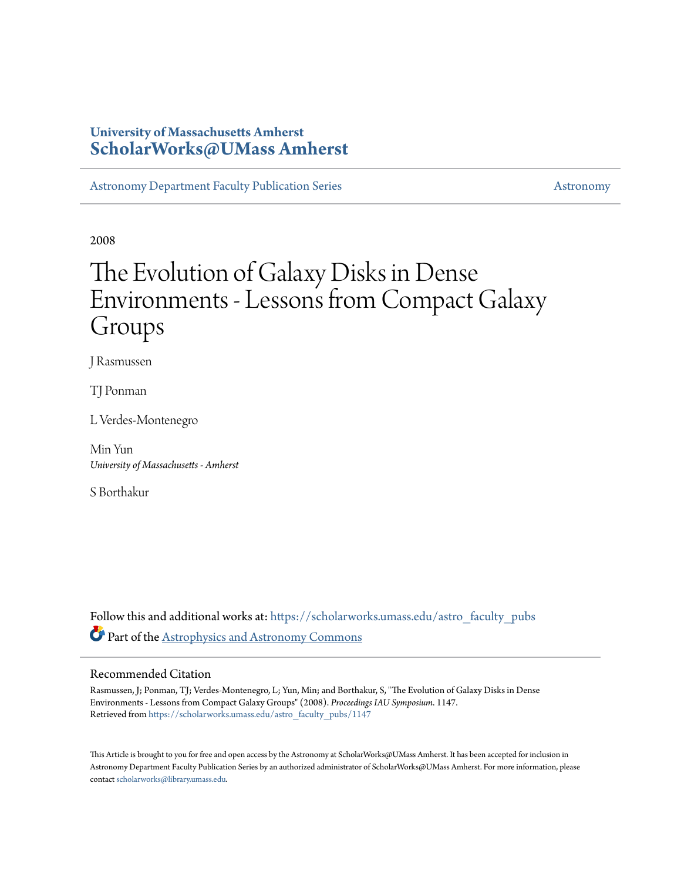### **University of Massachusetts Amherst [ScholarWorks@UMass Amherst](https://scholarworks.umass.edu?utm_source=scholarworks.umass.edu%2Fastro_faculty_pubs%2F1147&utm_medium=PDF&utm_campaign=PDFCoverPages)**

[Astronomy Department Faculty Publication Series](https://scholarworks.umass.edu/astro_faculty_pubs?utm_source=scholarworks.umass.edu%2Fastro_faculty_pubs%2F1147&utm_medium=PDF&utm_campaign=PDFCoverPages) **[Astronomy](https://scholarworks.umass.edu/astro?utm_source=scholarworks.umass.edu%2Fastro_faculty_pubs%2F1147&utm_medium=PDF&utm_campaign=PDFCoverPages)** Astronomy

2008

# The Evolution of Galaxy Disks in Dense Environments - Lessons from Compact Galaxy Groups

J Rasmussen

TJ Ponman

L Verdes-Montenegro

Min Yun *University of Massachusetts - Amherst*

S Borthakur

Follow this and additional works at: [https://scholarworks.umass.edu/astro\\_faculty\\_pubs](https://scholarworks.umass.edu/astro_faculty_pubs?utm_source=scholarworks.umass.edu%2Fastro_faculty_pubs%2F1147&utm_medium=PDF&utm_campaign=PDFCoverPages) Part of the [Astrophysics and Astronomy Commons](http://network.bepress.com/hgg/discipline/123?utm_source=scholarworks.umass.edu%2Fastro_faculty_pubs%2F1147&utm_medium=PDF&utm_campaign=PDFCoverPages)

#### Recommended Citation

Rasmussen, J; Ponman, TJ; Verdes-Montenegro, L; Yun, Min; and Borthakur, S, "The Evolution of Galaxy Disks in Dense Environments - Lessons from Compact Galaxy Groups" (2008). *Proceedings IAU Symposium*. 1147. Retrieved from [https://scholarworks.umass.edu/astro\\_faculty\\_pubs/1147](https://scholarworks.umass.edu/astro_faculty_pubs/1147?utm_source=scholarworks.umass.edu%2Fastro_faculty_pubs%2F1147&utm_medium=PDF&utm_campaign=PDFCoverPages)

This Article is brought to you for free and open access by the Astronomy at ScholarWorks@UMass Amherst. It has been accepted for inclusion in Astronomy Department Faculty Publication Series by an authorized administrator of ScholarWorks@UMass Amherst. For more information, please contact [scholarworks@library.umass.edu](mailto:scholarworks@library.umass.edu).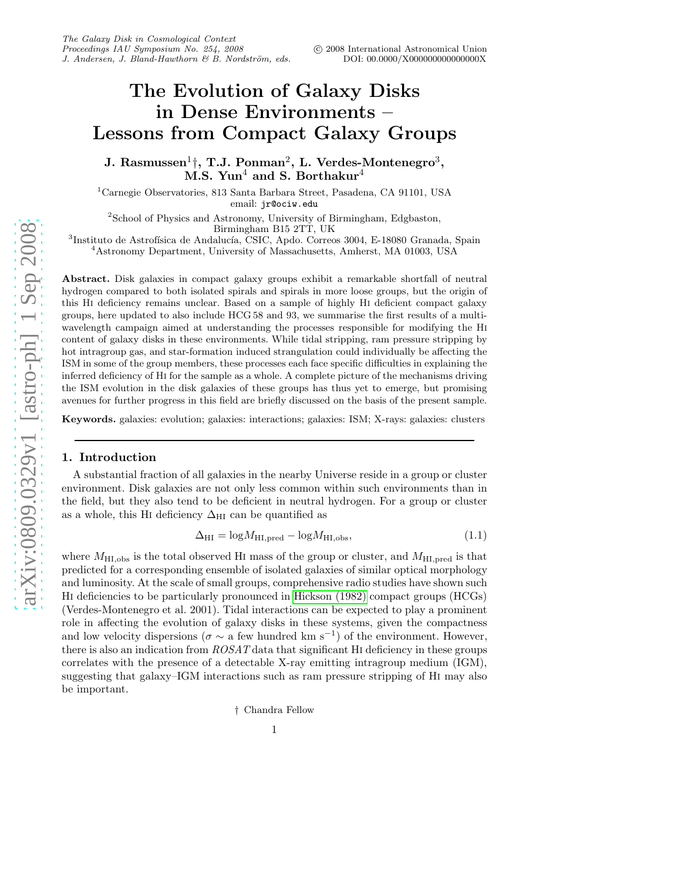## The Evolution of Galaxy Disks in Dense Environments – Lessons from Compact Galaxy Groups

J. Rasmussen $^1\natural,$  T.J. Ponman $^2,$  L. Verdes-Montenegro $^3,$ M.S. Yun<sup>4</sup> and S. Borthakur<sup>4</sup>

<sup>1</sup>Carnegie Observatories, 813 Santa Barbara Street, Pasadena, CA 91101, USA email: jr@ociw.edu

2 School of Physics and Astronomy, University of Birmingham, Edgbaston, Birmingham B15 2TT, UK

 ${}^{3}$ Instituto de Astrofísica de Andalucía, CSIC, Apdo. Correos 3004, E-18080 Granada, Spain  $^4\!$  Astronomy Department, University of Massachusetts, Amherst, MA 01003, USA

Abstract. Disk galaxies in compact galaxy groups exhibit a remarkable shortfall of neutral hydrogen compared to both isolated spirals and spirals in more loose groups, but the origin of this Hi deficiency remains unclear. Based on a sample of highly Hi deficient compact galaxy groups, here updated to also include HCG 58 and 93, we summarise the first results of a multiwavelength campaign aimed at understanding the processes responsible for modifying the Hi content of galaxy disks in these environments. While tidal stripping, ram pressure stripping by hot intragroup gas, and star-formation induced strangulation could individually be affecting the ISM in some of the group members, these processes each face specific difficulties in explaining the inferred deficiency of Hi for the sample as a whole. A complete picture of the mechanisms driving the ISM evolution in the disk galaxies of these groups has thus yet to emerge, but promising avenues for further progress in this field are briefly discussed on the basis of the present sample.

Keywords. galaxies: evolution; galaxies: interactions; galaxies: ISM; X-rays: galaxies: clusters

#### 1. Introduction

A substantial fraction of all galaxies in the nearby Universe reside in a group or cluster environment. Disk galaxies are not only less common within such environments than in the field, but they also tend to be deficient in neutral hydrogen. For a group or cluster as a whole, this HI deficiency  $\Delta_{\rm HI}$  can be quantified as

$$
\Delta_{\rm HI} = \log M_{\rm HI, pred} - \log M_{\rm HI, obs},\tag{1.1}
$$

where  $M_{\text{HI,obs}}$  is the total observed HI mass of the group or cluster, and  $M_{\text{HI,pred}}$  is that predicted for a corresponding ensemble of isolated galaxies of similar optical morphology and luminosity. At the scale of small groups, comprehensive radio studies have shown such Hi deficiencies to be particularly pronounced in [Hickson \(1982\)](#page-6-0) compact groups (HCGs) (Verdes-Montenegro et al. 2001). Tidal interactions can be expected to play a prominent role in affecting the evolution of galaxy disks in these systems, given the compactness and low velocity dispersions ( $\sigma \sim a$  few hundred km s<sup>-1</sup>) of the environment. However, there is also an indication from  $ROSAT$  data that significant HI deficiency in these groups correlates with the presence of a detectable X-ray emitting intragroup medium (IGM), suggesting that galaxy–IGM interactions such as ram pressure stripping of Hi may also be important.

† Chandra Fellow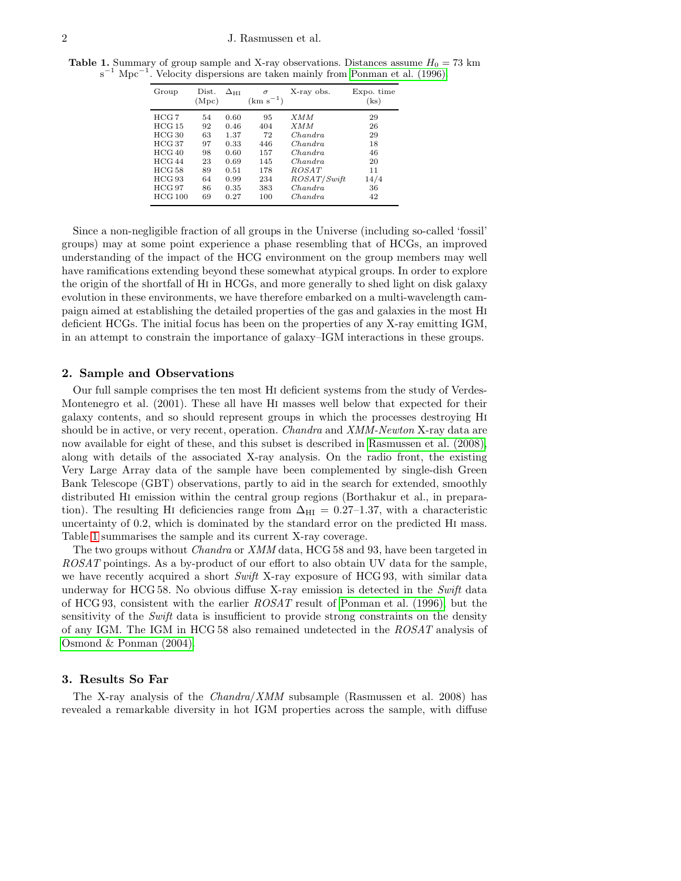**Table 1.** Summary of group sample and X-ray observations. Distances assume  $H_0 = 73$  km s<sup>-1</sup> Mpc<sup>-1</sup>. Velocity dispersions are taken mainly from [Ponman et al. \(1996\).](#page-6-1)

<span id="page-2-0"></span>

| HCG 7<br>XMM<br>0.60<br>95<br>54<br>29<br>HCG 15<br><i>XMM</i><br>92<br>404<br>26<br>0.46<br>HCG 30<br>1.37<br>63<br>29<br>72<br>Chandra<br>HCG 37<br>0.33<br>Chandra<br>18<br>97<br>446<br>HCG40<br>46<br>0.60<br>157<br>98<br>Chandra<br>HCG44<br>23<br>0.69<br>145<br>Chandra<br>20<br>HCG 58<br>ROSAT<br>178<br>89<br>11<br>0.51 | Group | Dist.<br>(Mpc) | $\Delta_{\rm HI}$ | $\sigma$<br>$(km s^{-1})$ | X-ray obs. | Expo. time<br>(ks) |
|--------------------------------------------------------------------------------------------------------------------------------------------------------------------------------------------------------------------------------------------------------------------------------------------------------------------------------------|-------|----------------|-------------------|---------------------------|------------|--------------------|
| HCG 93<br>ROSAT/Swith<br>0.99<br>234<br>14/4<br>64<br>HCG 97<br>383<br>Chandra<br>0.35<br>86<br>36<br>HCG 100<br>100<br>42<br>0.27<br>Chandra<br>69                                                                                                                                                                                  |       |                |                   |                           |            |                    |

Since a non-negligible fraction of all groups in the Universe (including so-called 'fossil' groups) may at some point experience a phase resembling that of HCGs, an improved understanding of the impact of the HCG environment on the group members may well have ramifications extending beyond these somewhat atypical groups. In order to explore the origin of the shortfall of Hi in HCGs, and more generally to shed light on disk galaxy evolution in these environments, we have therefore embarked on a multi-wavelength campaign aimed at establishing the detailed properties of the gas and galaxies in the most Hi deficient HCGs. The initial focus has been on the properties of any X-ray emitting IGM, in an attempt to constrain the importance of galaxy–IGM interactions in these groups.

#### 2. Sample and Observations

Our full sample comprises the ten most Hi deficient systems from the study of Verdes-Montenegro et al. (2001). These all have Hi masses well below that expected for their galaxy contents, and so should represent groups in which the processes destroying Hi should be in active, or very recent, operation. *Chandra* and *XMM-Newton* X-ray data are now available for eight of these, and this subset is described in [Rasmussen et al. \(2008\),](#page-6-2) along with details of the associated X-ray analysis. On the radio front, the existing Very Large Array data of the sample have been complemented by single-dish Green Bank Telescope (GBT) observations, partly to aid in the search for extended, smoothly distributed Hi emission within the central group regions (Borthakur et al., in preparation). The resulting HI deficiencies range from  $\Delta_{\rm HI} = 0.27$ –1.37, with a characteristic uncertainty of 0.2, which is dominated by the standard error on the predicted Hi mass. Table [1](#page-2-0) summarises the sample and its current X-ray coverage.

The two groups without Chandra or XMM data, HCG 58 and 93, have been targeted in ROSAT pointings. As a by-product of our effort to also obtain UV data for the sample, we have recently acquired a short Swift X-ray exposure of HCG 93, with similar data underway for HCG 58. No obvious diffuse X-ray emission is detected in the Swift data of HCG 93, consistent with the earlier ROSAT result of [Ponman et al. \(1996\),](#page-6-1) but the sensitivity of the Swift data is insufficient to provide strong constraints on the density of any IGM. The IGM in HCG 58 also remained undetected in the ROSAT analysis of [Osmond & Ponman \(2004\).](#page-6-3)

#### 3. Results So Far

The X-ray analysis of the Chandra/XMM subsample (Rasmussen et al. 2008) has revealed a remarkable diversity in hot IGM properties across the sample, with diffuse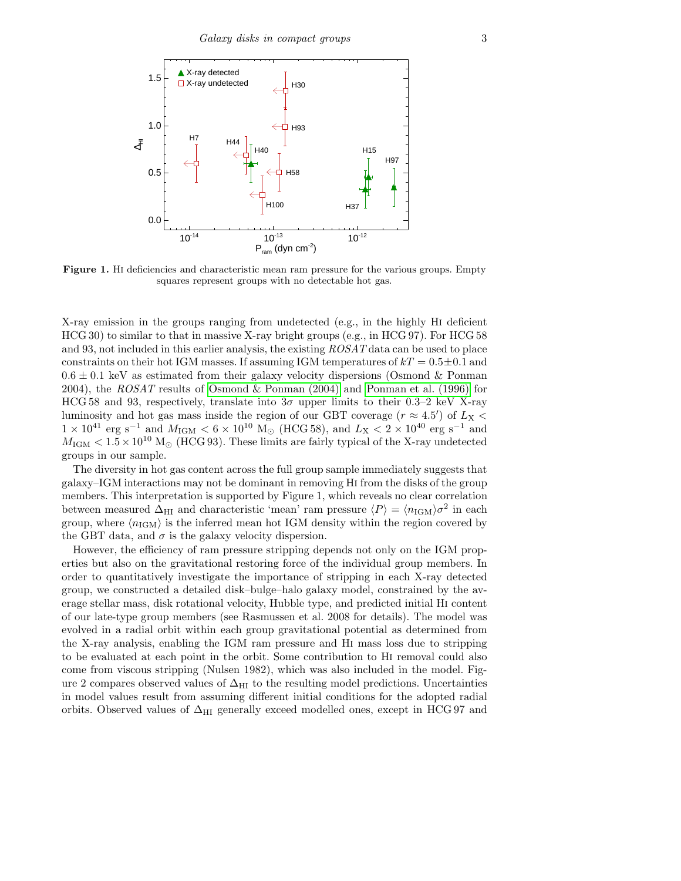

Figure 1. HI deficiencies and characteristic mean ram pressure for the various groups. Empty squares represent groups with no detectable hot gas.

X-ray emission in the groups ranging from undetected (e.g., in the highly Hi deficient HCG 30) to similar to that in massive X-ray bright groups (e.g., in HCG 97). For HCG 58 and 93, not included in this earlier analysis, the existing ROSAT data can be used to place constraints on their hot IGM masses. If assuming IGM temperatures of  $kT = 0.5 \pm 0.1$  and  $0.6 \pm 0.1$  keV as estimated from their galaxy velocity dispersions (Osmond & Ponman 2004), the ROSAT results of [Osmond & Ponman \(2004\)](#page-6-3) and [Ponman et al. \(1996\)](#page-6-1) for HCG 58 and 93, respectively, translate into  $3\sigma$  upper limits to their 0.3–2 keV X-ray luminosity and hot gas mass inside the region of our GBT coverage  $(r \approx 4.5')$  of  $L_{\rm X}$  <  $1 \times 10^{41}$  erg s<sup>-1</sup> and  $M_{\text{IGM}} < 6 \times 10^{10}$  M<sub>☉</sub> (HCG 58), and  $L_{\text{X}} < 2 \times 10^{40}$  erg s<sup>-1</sup> and  $M_{\rm IGM} < 1.5 \times 10^{10}$  M<sub>o</sub> (HCG 93). These limits are fairly typical of the X-ray undetected groups in our sample.

The diversity in hot gas content across the full group sample immediately suggests that galaxy–IGM interactions may not be dominant in removing Hi from the disks of the group members. This interpretation is supported by Figure 1, which reveals no clear correlation between measured  $\Delta_{\rm HI}$  and characteristic 'mean' ram pressure  $\langle P \rangle = \langle n_{\rm IGM} \rangle \sigma^2$  in each group, where  $\langle n_{\rm IGM} \rangle$  is the inferred mean hot IGM density within the region covered by the GBT data, and  $\sigma$  is the galaxy velocity dispersion.

However, the efficiency of ram pressure stripping depends not only on the IGM properties but also on the gravitational restoring force of the individual group members. In order to quantitatively investigate the importance of stripping in each X-ray detected group, we constructed a detailed disk–bulge–halo galaxy model, constrained by the average stellar mass, disk rotational velocity, Hubble type, and predicted initial Hi content of our late-type group members (see Rasmussen et al. 2008 for details). The model was evolved in a radial orbit within each group gravitational potential as determined from the X-ray analysis, enabling the IGM ram pressure and Hi mass loss due to stripping to be evaluated at each point in the orbit. Some contribution to Hi removal could also come from viscous stripping (Nulsen 1982), which was also included in the model. Figure 2 compares observed values of  $\Delta_{\rm HI}$  to the resulting model predictions. Uncertainties in model values result from assuming different initial conditions for the adopted radial orbits. Observed values of  $\Delta_{\rm HI}$  generally exceed modelled ones, except in HCG 97 and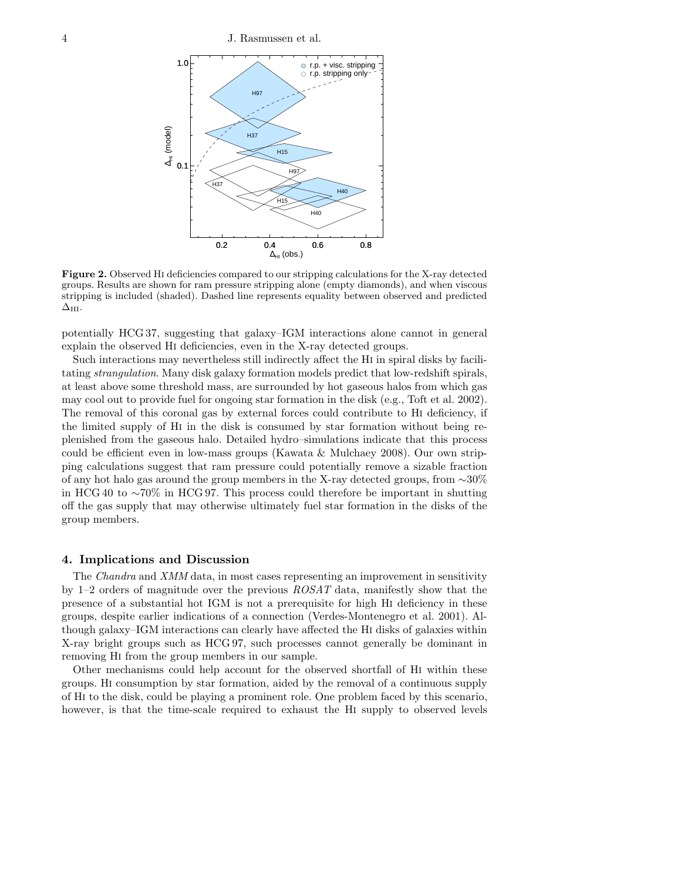4 J. Rasmussen et al.



Figure 2. Observed Hi deficiencies compared to our stripping calculations for the X-ray detected groups. Results are shown for ram pressure stripping alone (empty diamonds), and when viscous stripping is included (shaded). Dashed line represents equality between observed and predicted  $\Delta_{\rm HI}.$ 

potentially HCG 37, suggesting that galaxy–IGM interactions alone cannot in general explain the observed Hi deficiencies, even in the X-ray detected groups.

Such interactions may nevertheless still indirectly affect the Hi in spiral disks by facilitating strangulation. Many disk galaxy formation models predict that low-redshift spirals, at least above some threshold mass, are surrounded by hot gaseous halos from which gas may cool out to provide fuel for ongoing star formation in the disk (e.g., Toft et al. 2002). The removal of this coronal gas by external forces could contribute to Hi deficiency, if the limited supply of Hi in the disk is consumed by star formation without being replenished from the gaseous halo. Detailed hydro–simulations indicate that this process could be efficient even in low-mass groups (Kawata & Mulchaey 2008). Our own stripping calculations suggest that ram pressure could potentially remove a sizable fraction of any hot halo gas around the group members in the X-ray detected groups, from ∼30% in HCG 40 to ∼70% in HCG 97. This process could therefore be important in shutting off the gas supply that may otherwise ultimately fuel star formation in the disks of the group members.

#### 4. Implications and Discussion

The Chandra and XMM data, in most cases representing an improvement in sensitivity by 1–2 orders of magnitude over the previous  $ROSAT$  data, manifestly show that the presence of a substantial hot IGM is not a prerequisite for high Hi deficiency in these groups, despite earlier indications of a connection (Verdes-Montenegro et al. 2001). Although galaxy–IGM interactions can clearly have affected the Hi disks of galaxies within X-ray bright groups such as HCG 97, such processes cannot generally be dominant in removing Hi from the group members in our sample.

Other mechanisms could help account for the observed shortfall of Hi within these groups. Hi consumption by star formation, aided by the removal of a continuous supply of Hi to the disk, could be playing a prominent role. One problem faced by this scenario, however, is that the time-scale required to exhaust the Hi supply to observed levels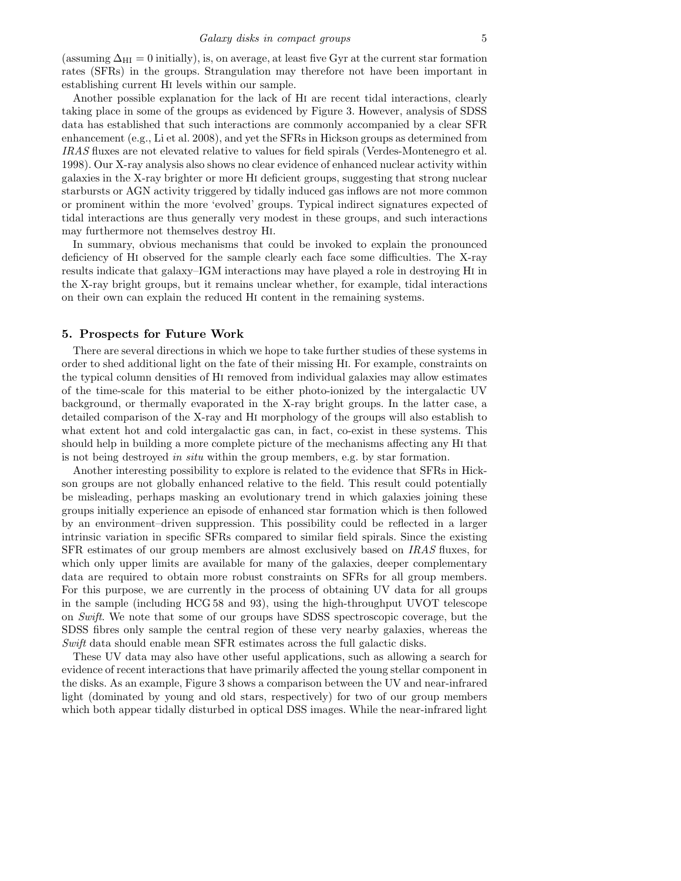(assuming  $\Delta_{\rm HI} = 0$  initially), is, on average, at least five Gyr at the current star formation rates (SFRs) in the groups. Strangulation may therefore not have been important in establishing current Hi levels within our sample.

Another possible explanation for the lack of Hi are recent tidal interactions, clearly taking place in some of the groups as evidenced by Figure 3. However, analysis of SDSS data has established that such interactions are commonly accompanied by a clear SFR enhancement (e.g., Li et al. 2008), and yet the SFRs in Hickson groups as determined from IRAS fluxes are not elevated relative to values for field spirals (Verdes-Montenegro et al. 1998). Our X-ray analysis also shows no clear evidence of enhanced nuclear activity within galaxies in the X-ray brighter or more Hi deficient groups, suggesting that strong nuclear starbursts or AGN activity triggered by tidally induced gas inflows are not more common or prominent within the more 'evolved' groups. Typical indirect signatures expected of tidal interactions are thus generally very modest in these groups, and such interactions may furthermore not themselves destroy Hi.

In summary, obvious mechanisms that could be invoked to explain the pronounced deficiency of Hi observed for the sample clearly each face some difficulties. The X-ray results indicate that galaxy–IGM interactions may have played a role in destroying Hi in the X-ray bright groups, but it remains unclear whether, for example, tidal interactions on their own can explain the reduced Hi content in the remaining systems.

#### 5. Prospects for Future Work

There are several directions in which we hope to take further studies of these systems in order to shed additional light on the fate of their missing Hi. For example, constraints on the typical column densities of Hi removed from individual galaxies may allow estimates of the time-scale for this material to be either photo-ionized by the intergalactic UV background, or thermally evaporated in the X-ray bright groups. In the latter case, a detailed comparison of the X-ray and Hi morphology of the groups will also establish to what extent hot and cold intergalactic gas can, in fact, co-exist in these systems. This should help in building a more complete picture of the mechanisms affecting any Hi that is not being destroyed in situ within the group members, e.g. by star formation.

Another interesting possibility to explore is related to the evidence that SFRs in Hickson groups are not globally enhanced relative to the field. This result could potentially be misleading, perhaps masking an evolutionary trend in which galaxies joining these groups initially experience an episode of enhanced star formation which is then followed by an environment–driven suppression. This possibility could be reflected in a larger intrinsic variation in specific SFRs compared to similar field spirals. Since the existing SFR estimates of our group members are almost exclusively based on IRAS fluxes, for which only upper limits are available for many of the galaxies, deeper complementary data are required to obtain more robust constraints on SFRs for all group members. For this purpose, we are currently in the process of obtaining UV data for all groups in the sample (including HCG 58 and 93), using the high-throughput UVOT telescope on Swift. We note that some of our groups have SDSS spectroscopic coverage, but the SDSS fibres only sample the central region of these very nearby galaxies, whereas the Swift data should enable mean SFR estimates across the full galactic disks.

These UV data may also have other useful applications, such as allowing a search for evidence of recent interactions that have primarily affected the young stellar component in the disks. As an example, Figure 3 shows a comparison between the UV and near-infrared light (dominated by young and old stars, respectively) for two of our group members which both appear tidally disturbed in optical DSS images. While the near-infrared light